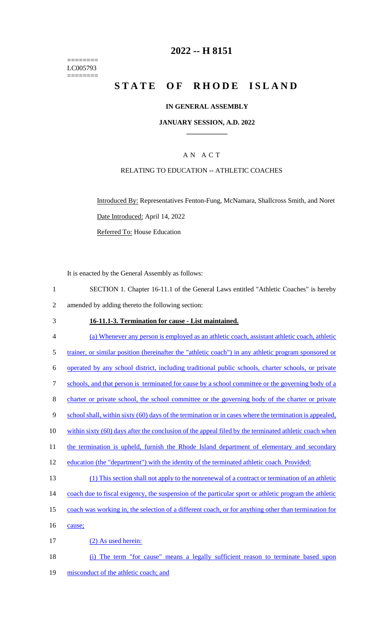======== LC005793 ========

# **2022 -- H 8151**

# **STATE OF RHODE ISLAND**

### **IN GENERAL ASSEMBLY**

#### **JANUARY SESSION, A.D. 2022 \_\_\_\_\_\_\_\_\_\_\_\_**

### A N A C T

## RELATING TO EDUCATION -- ATHLETIC COACHES

Introduced By: Representatives Fenton-Fung, McNamara, Shallcross Smith, and Noret Date Introduced: April 14, 2022 Referred To: House Education

It is enacted by the General Assembly as follows:

1 SECTION 1. Chapter 16-11.1 of the General Laws entitled "Athletic Coaches" is hereby 2 amended by adding thereto the following section:

### 3 **16-11.1-3. Termination for cause - List maintained.**

| $\overline{4}$ | (a) Whenever any person is employed as an athletic coach, assistant athletic coach, athletic           |
|----------------|--------------------------------------------------------------------------------------------------------|
| 5              | trainer, or similar position (hereinafter the "athletic coach") in any athletic program sponsored or   |
| 6              | operated by any school district, including traditional public schools, charter schools, or private     |
| $\tau$         | schools, and that person is terminated for cause by a school committee or the governing body of a      |
| $8\,$          | charter or private school, the school committee or the governing body of the charter or private        |
| 9              | school shall, within sixty (60) days of the termination or in cases where the termination is appealed. |
| 10             | within sixty (60) days after the conclusion of the appeal filed by the terminated athletic coach when  |
| 11             | the termination is upheld, furnish the Rhode Island department of elementary and secondary             |
| 12             | education (the "department") with the identity of the terminated athletic coach. Provided:             |
| 13             | (1) This section shall not apply to the nonrenewal of a contract or termination of an athletic         |
| 14             | coach due to fiscal exigency, the suspension of the particular sport or athletic program the athletic  |
| 15             | coach was working in, the selection of a different coach, or for anything other than termination for   |
| 16             | cause;                                                                                                 |
| 17             | (2) As used herein:                                                                                    |
| 18             | The term "for cause" means a legally sufficient reason to terminate based upon<br>(i)                  |
|                |                                                                                                        |

19 misconduct of the athletic coach; and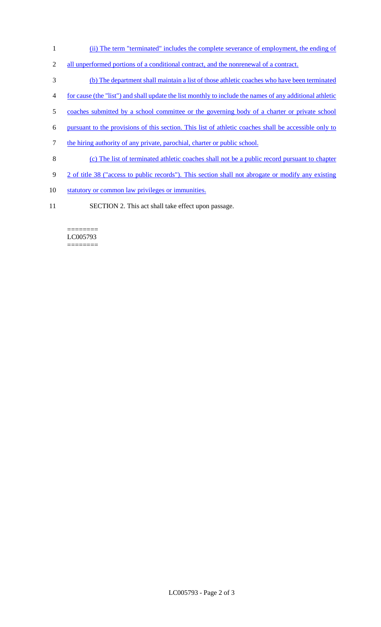- 1 (ii) The term "terminated" includes the complete severance of employment, the ending of
- 2 all unperformed portions of a conditional contract, and the nonrenewal of a contract.
- 3 (b) The department shall maintain a list of those athletic coaches who have been terminated
- 4 for cause (the "list") and shall update the list monthly to include the names of any additional athletic
- 5 coaches submitted by a school committee or the governing body of a charter or private school
- 6 pursuant to the provisions of this section. This list of athletic coaches shall be accessible only to
- 7 the hiring authority of any private, parochial, charter or public school.
- 8 (c) The list of terminated athletic coaches shall not be a public record pursuant to chapter
- 9 2 of title 38 ("access to public records"). This section shall not abrogate or modify any existing
- 10 statutory or common law privileges or immunities.
- 11 SECTION 2. This act shall take effect upon passage.

#### ======== LC005793 ========